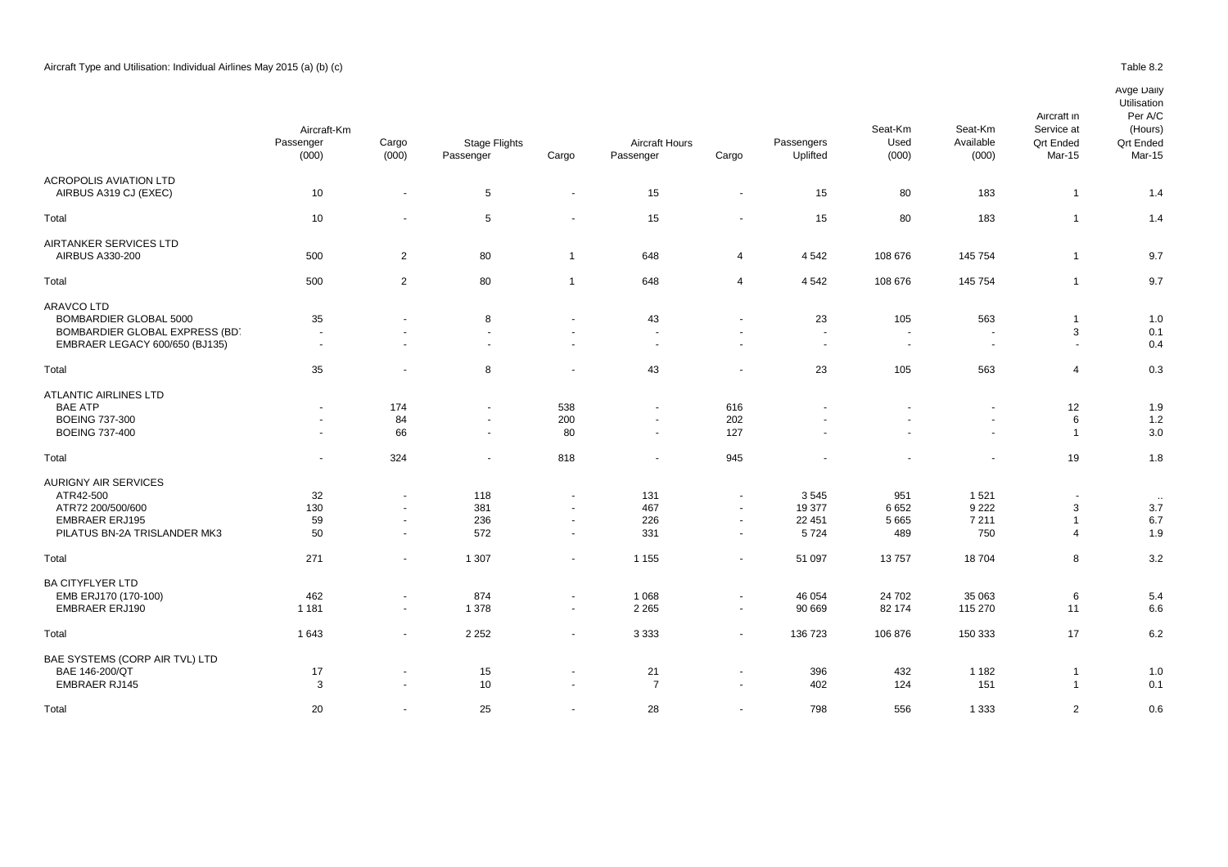|                                | Aircraft-Km              |                          |                                   |                          |                                    |                      | Seat-Km                | Seat-Km        | Service at               | (Hours)                    |                            |
|--------------------------------|--------------------------|--------------------------|-----------------------------------|--------------------------|------------------------------------|----------------------|------------------------|----------------|--------------------------|----------------------------|----------------------------|
|                                | Passenger<br>(000)       | Cargo<br>(000)           | <b>Stage Flights</b><br>Passenger | Cargo                    | <b>Aircraft Hours</b><br>Passenger | Cargo                | Passengers<br>Uplifted | Used<br>(000)  | Available<br>(000)       | <b>Qrt Ended</b><br>Mar-15 | <b>Qrt Ended</b><br>Mar-15 |
| <b>ACROPOLIS AVIATION LTD</b>  |                          |                          |                                   |                          |                                    |                      |                        |                |                          |                            |                            |
| AIRBUS A319 CJ (EXEC)          | 10                       | $\overline{\phantom{a}}$ | $5\phantom{.0}$                   | $\sim$                   | 15                                 | $\blacksquare$       | 15                     | 80             | 183                      | $\mathbf 1$                | 1.4                        |
| Total                          | 10                       | $\blacksquare$           | 5                                 |                          | 15                                 | $\blacksquare$       | 15                     | 80             | 183                      | $\mathbf 1$                | 1.4                        |
| AIRTANKER SERVICES LTD         |                          |                          |                                   |                          |                                    |                      |                        |                |                          |                            |                            |
| AIRBUS A330-200                | 500                      | $\overline{2}$           | 80                                | $\overline{1}$           | 648                                | 4                    | 4 5 4 2                | 108 676        | 145 754                  | 1                          | 9.7                        |
| Total                          | 500                      | 2                        | 80                                | $\overline{1}$           | 648                                | 4                    | 4542                   | 108 676        | 145 754                  |                            | 9.7                        |
| <b>ARAVCO LTD</b>              |                          |                          |                                   |                          |                                    |                      |                        |                |                          |                            |                            |
| <b>BOMBARDIER GLOBAL 5000</b>  | 35                       | ä,                       | 8                                 | $\overline{\phantom{a}}$ | 43                                 |                      | 23                     | 105            | 563                      | 1                          | 1.0                        |
| BOMBARDIER GLOBAL EXPRESS (BD. | $\overline{\phantom{a}}$ | $\blacksquare$           | $\sim$                            | $\overline{\phantom{a}}$ | $\blacksquare$                     | $\overline{a}$       | $\sim$                 |                | $\overline{\phantom{a}}$ | 3                          | 0.1                        |
| EMBRAER LEGACY 600/650 (BJ135) | $\sim$                   | $\overline{a}$           | $\overline{\phantom{a}}$          | $\sim$                   | $\sim$                             | $\ddot{\phantom{1}}$ | $\sim$                 | $\overline{a}$ | $\sim$                   | $\sim$                     | 0.4                        |
| Total                          | 35                       | $\blacksquare$           | 8                                 |                          | 43                                 | $\blacksquare$       | 23                     | 105            | 563                      | 4                          | 0.3                        |
| <b>ATLANTIC AIRLINES LTD</b>   |                          |                          |                                   |                          |                                    |                      |                        |                |                          |                            |                            |
| <b>BAE ATP</b>                 |                          | 174                      | $\blacksquare$                    | 538                      | $\mathbf{r}$                       | 616                  |                        |                | ä,                       | 12                         | 1.9                        |
| <b>BOEING 737-300</b>          |                          | 84                       | $\sim$                            | 200                      | $\overline{\phantom{a}}$           | 202                  |                        |                | ÷.                       | 6                          | 1.2                        |
| <b>BOEING 737-400</b>          |                          | 66                       | $\blacksquare$                    | 80                       | $\overline{\phantom{a}}$           | 127                  |                        |                | $\sim$                   | 1                          | 3.0                        |
| Total                          | $\overline{\phantom{a}}$ | 324                      |                                   | 818                      | $\overline{\phantom{a}}$           | 945                  |                        |                | $\overline{\phantom{a}}$ | 19                         | 1.8                        |
| <b>AURIGNY AIR SERVICES</b>    |                          |                          |                                   |                          |                                    |                      |                        |                |                          |                            |                            |
| ATR42-500                      | 32                       | $\blacksquare$           | 118                               | $\sim$                   | 131                                | $\ddot{\phantom{1}}$ | 3545                   | 951            | 1 5 2 1                  | $\sim$                     | $\cdot\cdot$               |
| ATR72 200/500/600              | 130                      | $\blacksquare$           | 381                               | $\sim$                   | 467                                | $\blacksquare$       | 19 377                 | 6652           | 9 2 2 2                  | 3                          | 3.7                        |
| <b>EMBRAER ERJ195</b>          | 59                       | $\overline{\phantom{a}}$ | 236                               | $\sim$                   | 226                                | $\blacksquare$       | 22 451                 | 5 6 6 5        | 7 2 1 1                  |                            | 6.7                        |
| PILATUS BN-2A TRISLANDER MK3   | 50                       | $\blacksquare$           | 572                               | $\sim$                   | 331                                | $\sim$               | 5724                   | 489            | 750                      | 4                          | 1.9                        |
| Total                          | 271                      | $\blacksquare$           | 1 3 0 7                           | $\sim$                   | 1 1 5 5                            | $\blacksquare$       | 51 097                 | 13757          | 18704                    | 8                          | 3.2                        |
| <b>BA CITYFLYER LTD</b>        |                          |                          |                                   |                          |                                    |                      |                        |                |                          |                            |                            |
| EMB ERJ170 (170-100)           | 462                      | $\blacksquare$           | 874                               | $\sim$                   | 1 0 6 8                            | $\blacksquare$       | 46 054                 | 24 702         | 35 063                   | 6                          | 5.4                        |
| <b>EMBRAER ERJ190</b>          | 1 1 8 1                  | $\blacksquare$           | 1 3 7 8                           | $\sim$                   | 2 2 6 5                            | $\sim$               | 90 669                 | 82 174         | 115 270                  | 11                         | 6.6                        |
| Total                          | 1643                     | $\blacksquare$           | 2 2 5 2                           | $\sim$                   | 3 3 3 3                            | $\blacksquare$       | 136 723                | 106 876        | 150 333                  | 17                         | 6.2                        |
| BAE SYSTEMS (CORP AIR TVL) LTD |                          |                          |                                   |                          |                                    |                      |                        |                |                          |                            |                            |
| BAE 146-200/QT                 | 17                       | $\blacksquare$           | 15                                | $\overline{\phantom{a}}$ | 21                                 | $\blacksquare$       | 396                    | 432            | 1 1 8 2                  | $\mathbf 1$                | 1.0                        |
| <b>EMBRAER RJ145</b>           | 3                        | $\blacksquare$           | 10                                | $\overline{\phantom{a}}$ | $\overline{7}$                     | $\sim$               | 402                    | 124            | 151                      | $\mathbf{1}$               | 0.1                        |
|                                |                          |                          |                                   |                          |                                    |                      |                        |                |                          |                            |                            |
| Total                          | 20                       | $\blacksquare$           | 25                                |                          | 28                                 | $\blacksquare$       | 798                    | 556            | 1 3 3 3                  | $\overline{2}$             | 0.6                        |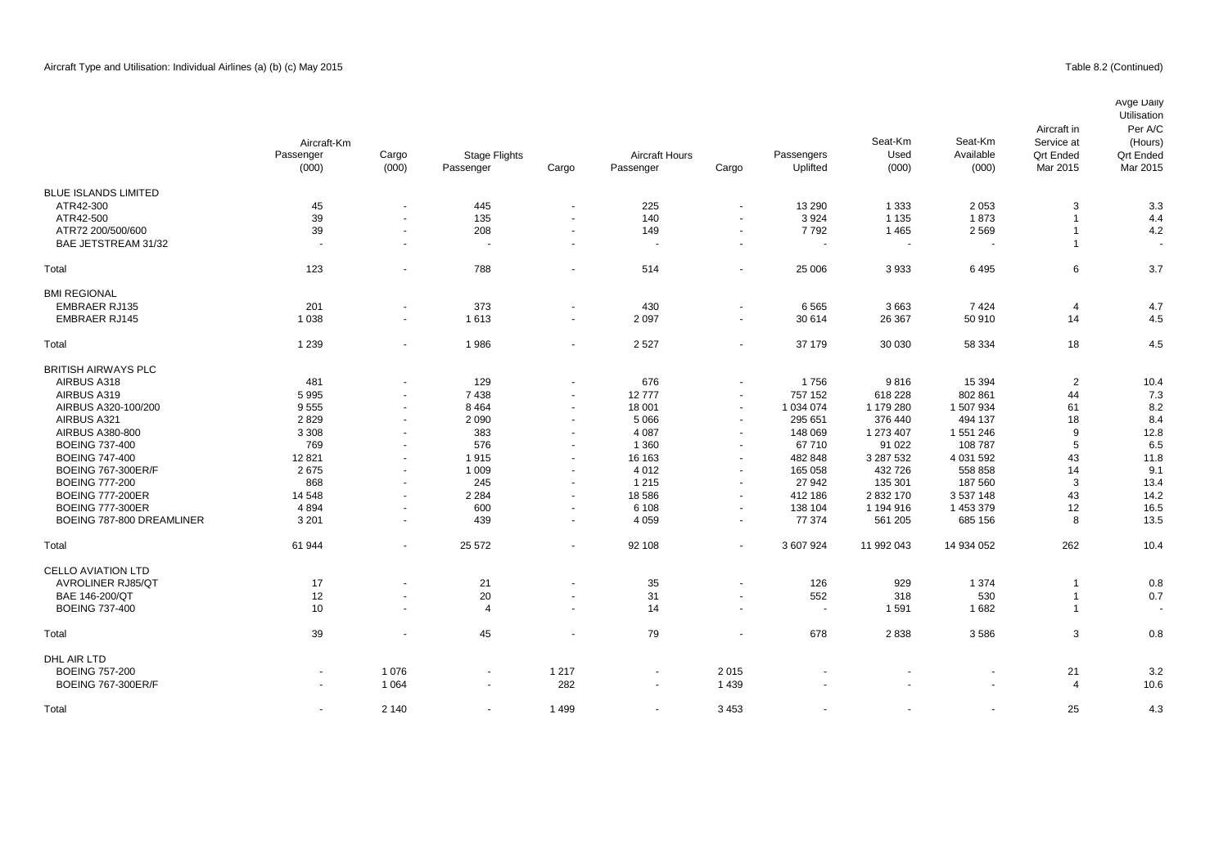# Table 8.2 (Continued)

|                             | Aircraft-Km |                          |                      |                          |                       |                          |            | Seat-Km    | Seat-Km    | Aircraft in<br>Service at | Avge Daily<br>Utilisation<br>Per A/C<br>(Hours) |
|-----------------------------|-------------|--------------------------|----------------------|--------------------------|-----------------------|--------------------------|------------|------------|------------|---------------------------|-------------------------------------------------|
|                             | Passenger   | Cargo                    | <b>Stage Flights</b> |                          | <b>Aircraft Hours</b> |                          | Passengers | Used       | Available  | <b>Qrt Ended</b>          | <b>Qrt Ended</b>                                |
|                             | (000)       | (000)                    | Passenger            | Cargo                    | Passenger             | Cargo                    | Uplifted   | (000)      | (000)      | Mar 2015                  | Mar 2015                                        |
| <b>BLUE ISLANDS LIMITED</b> |             |                          |                      |                          |                       |                          |            |            |            |                           |                                                 |
| ATR42-300                   | 45          | $\overline{\phantom{a}}$ | 445                  | $\sim$                   | 225                   | $\sim$                   | 13 290     | 1 3 3 3    | 2 0 5 3    | 3                         | 3.3                                             |
| ATR42-500                   | 39          | $\blacksquare$           | 135                  | $\overline{a}$           | 140                   | $\blacksquare$           | 3924       | 1 1 3 5    | 1873       | 1                         | 4.4                                             |
| ATR72 200/500/600           | 39          | $\blacksquare$           | 208                  | $\sim$                   | 149                   | $\blacksquare$           | 7792       | 1465       | 2 5 6 9    | $\overline{1}$            | 4.2                                             |
| BAE JETSTREAM 31/32         | $\sim$      | $\blacksquare$           | ÷.                   | $\sim$                   | $\sim$                | $\overline{\phantom{a}}$ |            | ٠.         | $\sim$     | $\overline{1}$            |                                                 |
| Total                       | 123         | $\blacksquare$           | 788                  | $\sim$                   | 514                   | $\blacksquare$           | 25 006     | 3933       | 6495       | 6                         | 3.7                                             |
| <b>BMI REGIONAL</b>         |             |                          |                      |                          |                       |                          |            |            |            |                           |                                                 |
| <b>EMBRAER RJ135</b>        | 201         | $\blacksquare$           | 373                  | $\overline{\phantom{a}}$ | 430                   | $\blacksquare$           | 6565       | 3663       | 7424       | 4                         | 4.7                                             |
| <b>EMBRAER RJ145</b>        | 1 0 3 8     | $\overline{\phantom{a}}$ | 1613                 | $\sim$                   | 2 0 9 7               | $\sim$                   | 30 614     | 26 367     | 50 910     | 14                        | 4.5                                             |
| Total                       | 1 2 3 9     | $\blacksquare$           | 1986                 | $\sim$                   | 2 5 2 7               | $\sim$                   | 37 179     | 30 030     | 58 334     | 18                        | 4.5                                             |
| <b>BRITISH AIRWAYS PLC</b>  |             |                          |                      |                          |                       |                          |            |            |            |                           |                                                 |
| AIRBUS A318                 | 481         | $\blacksquare$           | 129                  |                          | 676                   | $\blacksquare$           | 1756       | 9816       | 15 3 94    | $\overline{2}$            | 10.4                                            |
| AIRBUS A319                 | 5995        | $\blacksquare$           | 7438                 | $\sim$                   | 12777                 | $\blacksquare$           | 757 152    | 618 228    | 802 861    | 44                        | 7.3                                             |
| AIRBUS A320-100/200         | 9555        | $\overline{\phantom{a}}$ | 8 4 6 4              | $\sim$                   | 18 001                | $\sim$                   | 1 034 074  | 1 179 280  | 1 507 934  | 61                        | 8.2                                             |
| AIRBUS A321                 | 2829        | $\blacksquare$           | 2 0 9 0              | $\sim$                   | 5 0 6 6               | $\blacksquare$           | 295 651    | 376 440    | 494 137    | 18                        | 8.4                                             |
| AIRBUS A380-800             | 3 3 0 8     | $\blacksquare$           | 383                  |                          | 4 0 8 7               | $\blacksquare$           | 148 069    | 1 273 407  | 1 551 246  | 9                         | 12.8                                            |
| <b>BOEING 737-400</b>       | 769         | $\blacksquare$           | 576                  | $\sim$                   | 1 3 6 0               | $\sim$                   | 67710      | 91 0 22    | 108 787    | 5                         | 6.5                                             |
| <b>BOEING 747-400</b>       | 12821       | $\blacksquare$           | 1915                 |                          | 16 163                | $\blacksquare$           | 482 848    | 3 287 532  | 4 031 592  | 43                        | 11.8                                            |
| <b>BOEING 767-300ER/F</b>   | 2675        | $\blacksquare$           | 1 0 0 9              | $\sim$                   | 4 0 1 2               | $\sim$                   | 165 058    | 432 726    | 558 858    | 14                        | 9.1                                             |
| <b>BOEING 777-200</b>       | 868         | $\blacksquare$           | 245                  | $\sim$                   | 1 2 1 5               | $\sim$                   | 27 942     | 135 301    | 187 560    | 3                         | 13.4                                            |
| <b>BOEING 777-200ER</b>     | 14 548      | $\blacksquare$           | 2 2 8 4              | $\sim$                   | 18 5 86               | $\blacksquare$           | 412 186    | 2832170    | 3 537 148  | 43                        | 14.2                                            |
| <b>BOEING 777-300ER</b>     | 4 8 9 4     | $\blacksquare$           | 600                  | $\blacksquare$           | 6 1 0 8               | $\sim$                   | 138 104    | 1 194 916  | 1 453 379  | 12                        | 16.5                                            |
| BOEING 787-800 DREAMLINER   | 3 2 0 1     | $\blacksquare$           | 439                  | $\sim$                   | 4 0 5 9               | $\blacksquare$           | 77 374     | 561 205    | 685 156    | 8                         | 13.5                                            |
| Total                       | 61 944      | $\blacksquare$           | 25 572               | $\sim$                   | 92 108                | $\blacksquare$           | 3 607 924  | 11 992 043 | 14 934 052 | 262                       | 10.4                                            |
| <b>CELLO AVIATION LTD</b>   |             |                          |                      |                          |                       |                          |            |            |            |                           |                                                 |
| <b>AVROLINER RJ85/QT</b>    | 17          | $\blacksquare$           | 21                   |                          | 35                    | $\sim$                   | 126        | 929        | 1 3 7 4    | $\overline{1}$            | 0.8                                             |
| BAE 146-200/QT              | 12          | $\overline{a}$           | 20                   | $\sim$                   | 31                    | $\blacksquare$           | 552        | 318        | 530        | $\overline{1}$            | 0.7                                             |
| <b>BOEING 737-400</b>       | 10          | $\sim$                   | $\overline{4}$       | $\sim$                   | 14                    | $\sim$                   |            | 1591       | 1682       | $\overline{1}$            | $\blacksquare$                                  |
| Total                       | 39          | $\ddot{\phantom{1}}$     | 45                   | $\overline{a}$           | 79                    | $\overline{\phantom{a}}$ | 678        | 2838       | 3586       | 3                         | 0.8                                             |
| DHL AIR LTD                 |             |                          |                      |                          |                       |                          |            |            |            |                           |                                                 |
| <b>BOEING 757-200</b>       |             | 1076                     | $\ddot{\phantom{1}}$ | 1 2 1 7                  |                       | 2015                     |            |            |            | 21                        | 3.2                                             |
| <b>BOEING 767-300ER/F</b>   | $\sim$      | 1 0 6 4                  | $\overline{a}$       | 282                      | $\sim$                | 1 4 3 9                  |            |            |            | $\overline{4}$            | 10.6                                            |

Total - 2 140 - 1 499 - 3 453 - - - 25 4.3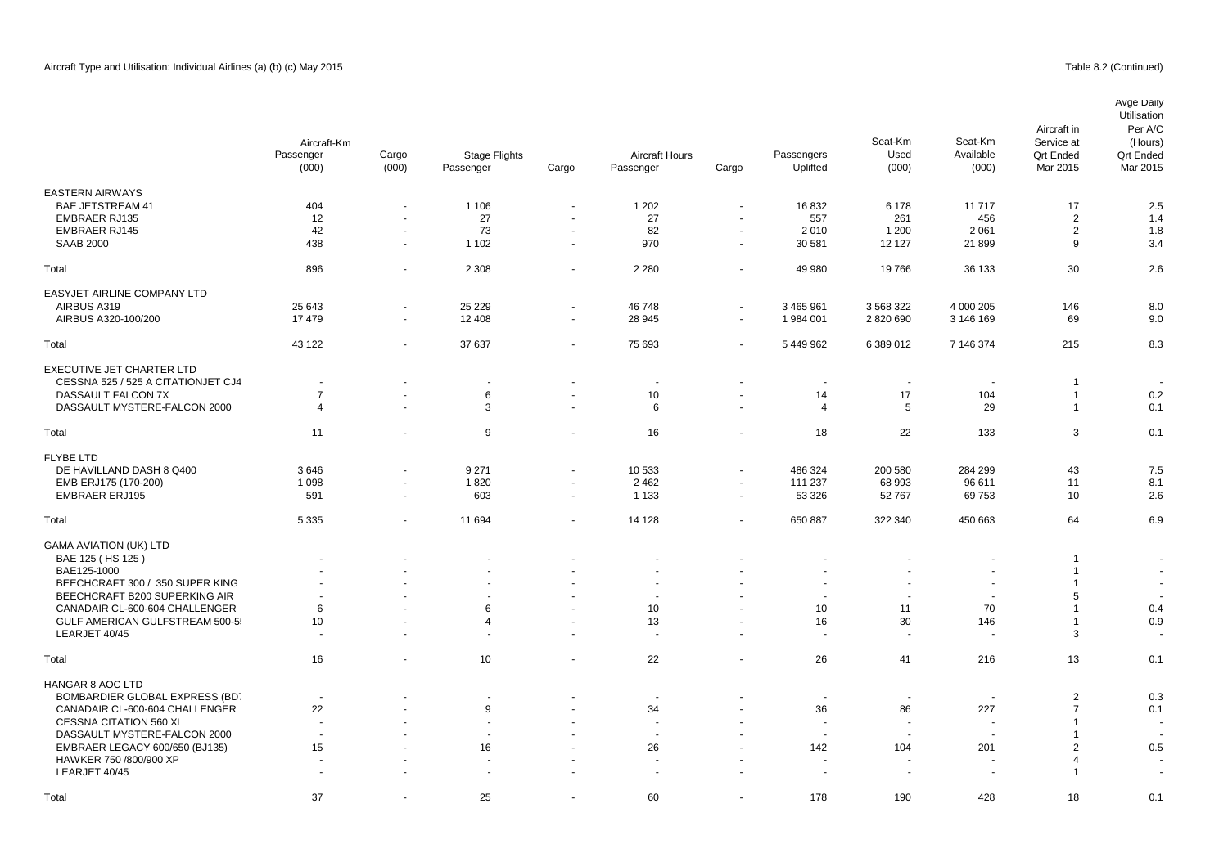|                                    | Aircraft-Km<br>Passenger<br>(000) | Cargo<br>(000)           | Stage Flights<br>Passenger | Cargo          | <b>Aircraft Hours</b><br>Passenger | Cargo                    | Passengers<br>Uplifted   | Seat-Km<br>Used<br>(000) | Seat-Km<br>Available<br>(000) | Aircraft in<br>Service at<br><b>Qrt Ended</b><br>Mar 2015 | Avge Daily<br>Utilisation<br>Per A/C<br>(Hours)<br><b>Qrt Ended</b><br>Mar 2015 |
|------------------------------------|-----------------------------------|--------------------------|----------------------------|----------------|------------------------------------|--------------------------|--------------------------|--------------------------|-------------------------------|-----------------------------------------------------------|---------------------------------------------------------------------------------|
| <b>EASTERN AIRWAYS</b>             |                                   |                          |                            |                |                                    |                          |                          |                          |                               |                                                           |                                                                                 |
| <b>BAE JETSTREAM 41</b>            | 404                               | ä,                       | 1 1 0 6                    |                | 1 2 0 2                            | $\overline{\phantom{a}}$ | 16832                    | 6 1 7 8                  | 11717                         | 17                                                        | 2.5                                                                             |
| <b>EMBRAER RJ135</b>               | 12                                | $\blacksquare$           | 27                         | $\sim$         | 27                                 | $\blacksquare$           | 557                      | 261                      | 456                           | $\overline{2}$                                            | 1.4                                                                             |
| <b>EMBRAER RJ145</b>               | 42                                | $\frac{1}{2}$            | 73                         | $\sim$         | 82                                 | $\blacksquare$           | 2010                     | 1 200                    | 2 0 6 1                       | 2                                                         | 1.8                                                                             |
|                                    |                                   | $\sim$                   |                            | $\sim$         |                                    | $\overline{\phantom{a}}$ |                          |                          |                               |                                                           |                                                                                 |
| <b>SAAB 2000</b>                   | 438                               |                          | 1 1 0 2                    |                | 970                                |                          | 30 581                   | 12 127                   | 21899                         | 9                                                         | 3.4                                                                             |
| Total                              | 896                               | $\blacksquare$           | 2 3 0 8                    | $\sim$         | 2 2 8 0                            | $\blacksquare$           | 49 980                   | 19766                    | 36 133                        | 30                                                        | 2.6                                                                             |
| EASYJET AIRLINE COMPANY LTD        |                                   |                          |                            |                |                                    |                          |                          |                          |                               |                                                           |                                                                                 |
| AIRBUS A319                        | 25 643                            | $\blacksquare$           | 25 2 29                    | $\sim$         | 46748                              | $\blacksquare$           | 3 465 961                | 3 5 68 3 22              | 4 000 205                     | 146                                                       | 8.0                                                                             |
| AIRBUS A320-100/200                | 17479                             | $\blacksquare$           | 12 4 08                    | $\sim$         | 28 945                             | $\blacksquare$           | 1 984 001                | 2820690                  | 3 146 169                     | 69                                                        | 9.0                                                                             |
|                                    |                                   |                          |                            |                |                                    |                          |                          |                          |                               |                                                           |                                                                                 |
| Total                              | 43 122                            | ÷                        | 37 637                     |                | 75 693                             | ÷,                       | 5 449 962                | 6 389 012                | 7 146 374                     | 215                                                       | 8.3                                                                             |
| <b>EXECUTIVE JET CHARTER LTD</b>   |                                   |                          |                            |                |                                    |                          |                          |                          |                               |                                                           |                                                                                 |
| CESSNA 525 / 525 A CITATIONJET CJ4 |                                   |                          | $\overline{\phantom{a}}$   |                | $\overline{\phantom{a}}$           | $\blacksquare$           | $\overline{\phantom{a}}$ | $\overline{\phantom{a}}$ |                               | $\overline{1}$                                            |                                                                                 |
| DASSAULT FALCON 7X                 | $\overline{7}$                    | $\blacksquare$           | 6                          |                | 10                                 | $\blacksquare$           | 14                       | 17                       | 104                           | $\overline{1}$                                            | 0.2                                                                             |
| DASSAULT MYSTERE-FALCON 2000       | 4                                 | $\ddot{\phantom{1}}$     | 3                          | $\sim$         | 6                                  | ÷.                       | 4                        | 5                        | 29                            | $\overline{1}$                                            | 0.1                                                                             |
| Total                              | 11                                | $\blacksquare$           | 9                          | $\sim$         | 16                                 | $\blacksquare$           | 18                       | 22                       | 133                           | 3                                                         | 0.1                                                                             |
|                                    |                                   |                          |                            |                |                                    |                          |                          |                          |                               |                                                           |                                                                                 |
| <b>FLYBE LTD</b>                   |                                   |                          |                            |                |                                    |                          |                          |                          |                               |                                                           |                                                                                 |
| DE HAVILLAND DASH 8 Q400           | 3646                              | $\sim$                   | 9 2 7 1                    | $\sim$         | 10 533                             | $\blacksquare$           | 486 324                  | 200 580                  | 284 299                       | 43                                                        | 7.5                                                                             |
| EMB ERJ175 (170-200)               | 1 0 9 8                           | $\blacksquare$           | 1820                       | $\sim$         | 2 4 6 2                            | $\blacksquare$           | 111 237                  | 68 993                   | 96 611                        | 11                                                        | 8.1                                                                             |
| <b>EMBRAER ERJ195</b>              | 591                               | $\sim$                   | 603                        | $\sim$         | 1 1 3 3                            | $\blacksquare$           | 53 326                   | 52 767                   | 69753                         | 10                                                        | 2.6                                                                             |
| Total                              | 5 3 3 5                           | $\overline{\phantom{a}}$ | 11 694                     | $\blacksquare$ | 14 128                             | $\blacksquare$           | 650 887                  | 322 340                  | 450 663                       | 64                                                        | 6.9                                                                             |
| <b>GAMA AVIATION (UK) LTD</b>      |                                   |                          |                            |                |                                    |                          |                          |                          |                               |                                                           |                                                                                 |
| BAE 125 (HS 125)                   |                                   |                          | $\overline{\phantom{a}}$   |                | $\blacksquare$                     |                          |                          | $\overline{a}$           | $\blacksquare$                | -1                                                        | $\overline{\phantom{a}}$                                                        |
| BAE125-1000                        |                                   |                          |                            |                | $\blacksquare$                     |                          |                          |                          |                               | $\overline{1}$                                            | $\sim$                                                                          |
| BEECHCRAFT 300 / 350 SUPER KING    |                                   |                          |                            |                |                                    |                          |                          |                          |                               | $\overline{1}$                                            |                                                                                 |
| BEECHCRAFT B200 SUPERKING AIR      |                                   |                          | $\overline{\phantom{a}}$   |                | $\blacksquare$                     |                          | $\sim$                   | $\overline{\phantom{a}}$ | $\blacksquare$                | 5                                                         |                                                                                 |
| CANADAIR CL-600-604 CHALLENGER     | 6                                 |                          | 6                          |                | 10                                 |                          | 10                       | 11                       | 70                            | $\overline{1}$                                            | 0.4                                                                             |
| GULF AMERICAN GULFSTREAM 500-5     |                                   |                          | $\overline{4}$             |                | 13                                 | $\blacksquare$           |                          |                          |                               | $\overline{1}$                                            | 0.9                                                                             |
| LEARJET 40/45                      | 10                                |                          | ÷.                         |                | ÷.                                 |                          | 16                       | 30                       | 146                           | 3                                                         |                                                                                 |
|                                    |                                   | $\ddot{\phantom{1}}$     |                            |                |                                    | $\blacksquare$           | $\overline{a}$           | $\overline{\phantom{a}}$ | $\overline{\phantom{a}}$      |                                                           |                                                                                 |
| Total                              | 16                                | ä,                       | 10                         | $\sim$         | 22                                 | $\blacksquare$           | 26                       | 41                       | 216                           | 13                                                        | 0.1                                                                             |
| HANGAR 8 AOC LTD                   |                                   |                          |                            |                |                                    |                          |                          |                          |                               |                                                           |                                                                                 |
| BOMBARDIER GLOBAL EXPRESS (BD)     |                                   |                          | $\overline{\phantom{a}}$   |                |                                    |                          | $\overline{\phantom{a}}$ | $\overline{\phantom{a}}$ | ٠                             | $\overline{2}$                                            | 0.3                                                                             |
| CANADAIR CL-600-604 CHALLENGER     | 22                                |                          | 9                          |                | 34                                 |                          | 36                       | 86                       | 227                           | $\overline{7}$                                            | 0.1                                                                             |
| <b>CESSNA CITATION 560 XL</b>      |                                   |                          |                            |                |                                    |                          |                          | $\overline{a}$           |                               | $\overline{1}$                                            |                                                                                 |
| DASSAULT MYSTERE-FALCON 2000       |                                   |                          |                            |                |                                    |                          |                          | $\overline{\phantom{a}}$ | $\overline{\phantom{a}}$      | -1                                                        |                                                                                 |
| EMBRAER LEGACY 600/650 (BJ135)     | 15                                |                          | 16                         |                | 26                                 |                          | 142                      | 104                      | 201                           | $\overline{2}$                                            | 0.5                                                                             |
| HAWKER 750 /800/900 XP             |                                   |                          |                            |                |                                    |                          |                          |                          |                               | 4                                                         |                                                                                 |
|                                    |                                   |                          |                            |                |                                    |                          |                          |                          |                               |                                                           |                                                                                 |
| LEARJET 40/45                      |                                   |                          | $\sim$                     |                | $\blacksquare$                     |                          |                          | $\overline{\phantom{a}}$ |                               | $\overline{1}$                                            | $\blacksquare$                                                                  |

Total 37 - 25 - 60 - 178 190 428 18 0.1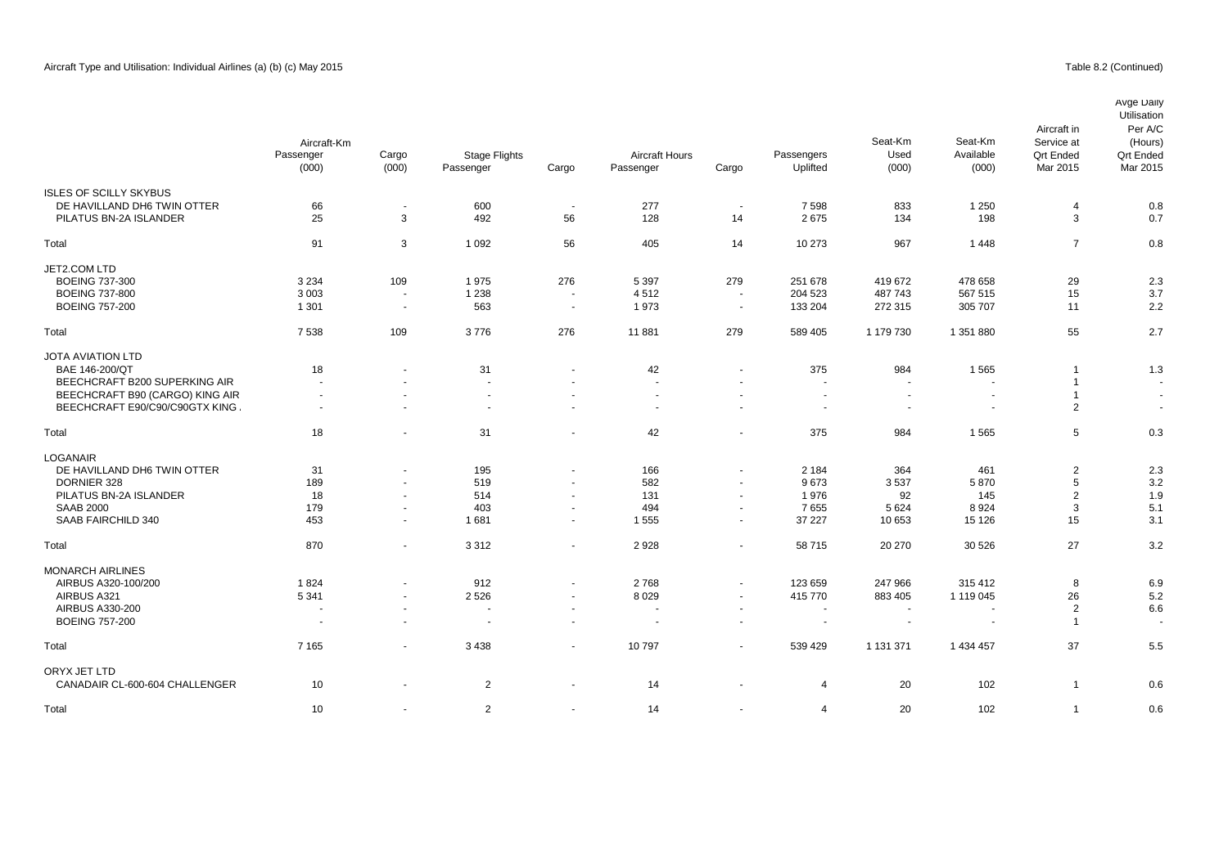|                                 | Aircraft-Km<br>Passenger | Cargo                    | <b>Stage Flights</b>     |                | <b>Aircraft Hours</b> |                          | Passengers               | Seat-Km<br>Used | Seat-Km<br>Available     | Aircraft in<br>Service at<br><b>Qrt Ended</b> | Avge Daily<br>Utilisation<br>Per A/C<br>(Hours)<br><b>Qrt Ended</b> |
|---------------------------------|--------------------------|--------------------------|--------------------------|----------------|-----------------------|--------------------------|--------------------------|-----------------|--------------------------|-----------------------------------------------|---------------------------------------------------------------------|
|                                 | (000)                    | (000)                    | Passenger                | Cargo          | Passenger             | Cargo                    | Uplifted                 | (000)           | (000)                    | Mar 2015                                      | Mar 2015                                                            |
| <b>ISLES OF SCILLY SKYBUS</b>   |                          |                          |                          |                |                       |                          |                          |                 |                          |                                               |                                                                     |
| DE HAVILLAND DH6 TWIN OTTER     | 66                       | $\overline{\phantom{a}}$ | 600                      | $\sim$         | 277                   | $\overline{\phantom{a}}$ | 7598                     | 833             | 1 2 5 0                  | 4                                             | 0.8                                                                 |
| PILATUS BN-2A ISLANDER          | 25                       | 3                        | 492                      | 56             | 128                   | 14                       | 2675                     | 134             | 198                      | 3                                             | 0.7                                                                 |
| Total                           | 91                       | 3                        | 1 0 9 2                  | 56             | 405                   | 14                       | 10 273                   | 967             | 1448                     | $\overline{7}$                                | 0.8                                                                 |
| JET2.COM LTD                    |                          |                          |                          |                |                       |                          |                          |                 |                          |                                               |                                                                     |
| <b>BOEING 737-300</b>           | 3 2 3 4                  | 109                      | 1975                     | 276            | 5 3 9 7               | 279                      | 251 678                  | 419 672         | 478 658                  | 29                                            | 2.3                                                                 |
| <b>BOEING 737-800</b>           | 3 0 0 3                  | $\sim$                   | 1 2 3 8                  | $\sim$         | 4512                  | $\overline{\phantom{a}}$ | 204 523                  | 487743          | 567 515                  | 15                                            | 3.7                                                                 |
| <b>BOEING 757-200</b>           | 1 3 0 1                  | $\overline{\phantom{a}}$ | 563                      | $\sim$         | 1973                  | $\sim$                   | 133 204                  | 272 315         | 305 707                  | 11                                            | 2.2                                                                 |
| Total                           | 7538                     | 109                      | 3776                     | 276            | 11881                 | 279                      | 589 405                  | 1 179 730       | 1 351 880                | 55                                            | 2.7                                                                 |
| <b>JOTA AVIATION LTD</b>        |                          |                          |                          |                |                       |                          |                          |                 |                          |                                               |                                                                     |
| BAE 146-200/QT                  | 18                       | $\blacksquare$           | 31                       | $\sim$         | 42                    | $\overline{\phantom{a}}$ | 375                      | 984             | 1565                     | -1                                            | 1.3                                                                 |
| BEECHCRAFT B200 SUPERKING AIR   | $\overline{a}$           |                          | $\sim$                   |                | ÷.                    |                          | $\sim$                   | $\sim$          |                          | $\mathbf{1}$                                  | $\sim$                                                              |
| BEECHCRAFT B90 (CARGO) KING AIR | $\sim$                   | $\ddot{\phantom{1}}$     | $\sim$                   | $\sim$         | ä,                    |                          | $\sim$                   | $\blacksquare$  | $\overline{\phantom{a}}$ | $\overline{1}$                                | $\sim$                                                              |
| BEECHCRAFT E90/C90/C90GTX KING  | $\sim$                   | $\blacksquare$           | $\overline{\phantom{a}}$ | $\sim$         | $\blacksquare$        | $\overline{\phantom{a}}$ | $\overline{\phantom{a}}$ | $\sim$          |                          | $\overline{2}$                                | $\overline{\phantom{a}}$                                            |
| Total                           | 18                       | $\blacksquare$           | 31                       | $\sim$         | 42                    |                          | 375                      | 984             | 1565                     | 5                                             | 0.3                                                                 |
| <b>LOGANAIR</b>                 |                          |                          |                          |                |                       |                          |                          |                 |                          |                                               |                                                                     |
| DE HAVILLAND DH6 TWIN OTTER     | 31                       | $\ddot{\phantom{1}}$     | 195                      | $\sim$         | 166                   | $\overline{\phantom{a}}$ | 2 1 8 4                  | 364             | 461                      | $\overline{2}$                                | 2.3                                                                 |
| DORNIER 328                     | 189                      | $\ddot{\phantom{1}}$     | 519                      | $\sim$         | 582                   | $\overline{\phantom{a}}$ | 9673                     | 3537            | 5870                     | 5                                             | 3.2                                                                 |
| PILATUS BN-2A ISLANDER          | 18                       | $\overline{a}$           | 514                      | $\blacksquare$ | 131                   | $\sim$                   | 1976                     | 92              | 145                      | $\overline{2}$                                | 1.9                                                                 |
| <b>SAAB 2000</b>                | 179                      | $\sim$                   | 403                      | $\sim$         | 494                   | $\overline{\phantom{a}}$ | 7655                     | 5 6 2 4         | 8924                     | 3                                             | 5.1                                                                 |
| SAAB FAIRCHILD 340              | 453                      | $\sim$                   | 1681                     | $\sim$         | 1555                  | $\sim$                   | 37 227                   | 10 653          | 15 1 26                  | 15                                            | 3.1                                                                 |
| Total                           | 870                      | $\blacksquare$           | 3312                     | $\sim$         | 2928                  | $\overline{\phantom{a}}$ | 58 715                   | 20 270          | 30 526                   | 27                                            | 3.2                                                                 |
| <b>MONARCH AIRLINES</b>         |                          |                          |                          |                |                       |                          |                          |                 |                          |                                               |                                                                     |
| AIRBUS A320-100/200             | 1824                     | $\overline{a}$           | 912                      | $\sim$         | 2768                  | $\overline{\phantom{a}}$ | 123 659                  | 247 966         | 315 412                  | 8                                             | 6.9                                                                 |
| AIRBUS A321                     | 5 3 4 1                  | $\blacksquare$           | 2 5 2 6                  | $\sim$         | 8 0 2 9               | $\overline{\phantom{a}}$ | 415 770                  | 883 405         | 1 119 045                | 26                                            | 5.2                                                                 |
| AIRBUS A330-200                 |                          | $\overline{\phantom{a}}$ | $\sim$                   | $\sim$         | $\sim$                | $\sim$                   | $\overline{a}$           | ÷.              | $\overline{\phantom{a}}$ | $\overline{2}$                                | 6.6                                                                 |
| <b>BOEING 757-200</b>           |                          |                          | $\sim$                   |                |                       |                          |                          |                 |                          | $\overline{1}$                                |                                                                     |
| Total                           | 7 1 6 5                  | $\blacksquare$           | 3 4 3 8                  | $\sim$         | 10797                 | $\overline{\phantom{a}}$ | 539 429                  | 1 131 371       | 1 434 457                | 37                                            | 5.5                                                                 |
| ORYX JET LTD                    |                          |                          |                          |                |                       |                          |                          |                 |                          |                                               |                                                                     |
| CANADAIR CL-600-604 CHALLENGER  | 10                       | $\overline{\phantom{a}}$ | 2                        | $\overline{a}$ | 14                    |                          | 4                        | 20              | 102                      | $\mathbf{1}$                                  | 0.6                                                                 |

0.6 - 10 - 2 - 14 - 14 20 102 1 0.6 102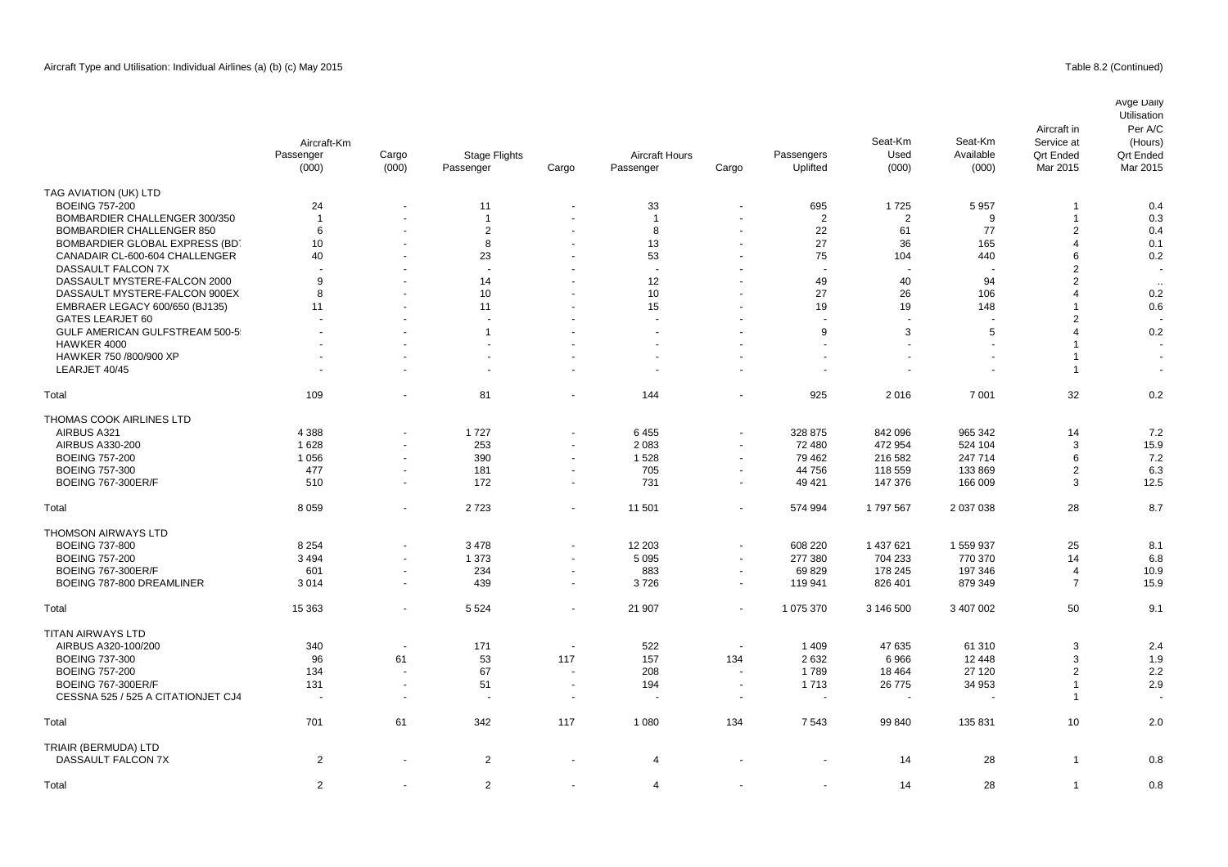|                                    | Aircraft-Km<br>Passenger<br>(000) | Cargo<br>(000)           | <b>Stage Flights</b><br>Passenger | Cargo                    | <b>Aircraft Hours</b><br>Passenger | Cargo                    | Passengers<br>Uplifted   | Seat-Km<br>Used<br>(000) | Seat-Km<br>Available<br>(000) | Aircraft in<br>Service at<br><b>Qrt Ended</b><br>Mar 2015 | Avge Daily<br>Utilisation<br>Per A/C<br>(Hours)<br><b>Qrt Ended</b><br>Mar 2015 |
|------------------------------------|-----------------------------------|--------------------------|-----------------------------------|--------------------------|------------------------------------|--------------------------|--------------------------|--------------------------|-------------------------------|-----------------------------------------------------------|---------------------------------------------------------------------------------|
| TAG AVIATION (UK) LTD              |                                   |                          |                                   |                          |                                    |                          |                          |                          |                               |                                                           |                                                                                 |
| <b>BOEING 757-200</b>              | 24                                |                          | 11                                |                          | 33                                 |                          | 695                      | 1725                     | 5957                          |                                                           | 0.4                                                                             |
| BOMBARDIER CHALLENGER 300/350      | $\overline{1}$                    |                          | $\overline{1}$                    |                          | $\overline{1}$                     |                          | $\overline{2}$           | 2                        | 9                             | $\mathbf{1}$                                              | 0.3                                                                             |
| <b>BOMBARDIER CHALLENGER 850</b>   | 6                                 | $\blacksquare$           | 2                                 | $\ddot{\phantom{1}}$     | 8                                  | $\sim$                   | 22                       | 61                       | 77                            | $\overline{2}$                                            | 0.4                                                                             |
| BOMBARDIER GLOBAL EXPRESS (BD)     | 10                                |                          | 8                                 |                          | 13                                 |                          | 27                       | 36                       | 165                           | $\overline{4}$                                            | 0.1                                                                             |
| CANADAIR CL-600-604 CHALLENGER     | 40                                |                          | 23                                | ä,                       | 53                                 | $\blacksquare$           | 75                       | 104                      | 440                           | 6                                                         | 0.2                                                                             |
| DASSAULT FALCON 7X                 |                                   |                          |                                   |                          |                                    |                          |                          |                          |                               | $\overline{2}$                                            |                                                                                 |
| DASSAULT MYSTERE-FALCON 2000       | 9                                 |                          | 14                                |                          | 12                                 |                          | 49                       | 40                       | 94                            | $\overline{2}$                                            |                                                                                 |
| DASSAULT MYSTERE-FALCON 900EX      | 8                                 |                          | 10                                |                          | 10                                 |                          | 27                       | 26                       | 106                           | $\overline{4}$                                            | 0.2                                                                             |
| EMBRAER LEGACY 600/650 (BJ135)     | 11                                |                          | 11                                |                          | 15                                 |                          | 19                       | 19                       | 148                           | 1                                                         | 0.6                                                                             |
| GATES LEARJET 60                   |                                   |                          |                                   |                          |                                    |                          | $\overline{\phantom{a}}$ |                          |                               | $\overline{2}$                                            |                                                                                 |
| GULF AMERICAN GULFSTREAM 500-5     | $\sim$                            |                          | $\mathbf{1}$                      |                          |                                    |                          | 9                        | 3                        | 5                             | $\overline{4}$                                            | 0.2                                                                             |
| HAWKER 4000                        |                                   |                          |                                   | $\blacksquare$           |                                    |                          |                          |                          | ä,                            |                                                           |                                                                                 |
| HAWKER 750 /800/900 XP             |                                   |                          |                                   |                          |                                    |                          |                          |                          |                               |                                                           |                                                                                 |
| LEARJET 40/45                      |                                   |                          |                                   | ÷,                       |                                    | $\sim$                   |                          |                          |                               | -1                                                        |                                                                                 |
| Total                              | 109                               |                          | 81                                | ä,                       | 144                                |                          | 925                      | 2016                     | 7 0 0 1                       | 32                                                        | 0.2                                                                             |
| THOMAS COOK AIRLINES LTD           |                                   |                          |                                   |                          |                                    |                          |                          |                          |                               |                                                           |                                                                                 |
| AIRBUS A321                        | 4 3 8 8                           | $\blacksquare$           | 1727                              | $\overline{\phantom{a}}$ | 6455                               | $\sim$                   | 328 875                  | 842 096                  | 965 342                       | 14                                                        | 7.2                                                                             |
| AIRBUS A330-200                    | 1628                              | ÷,                       | 253                               | $\sim$                   | 2083                               | ÷.                       | 72 480                   | 472 954                  | 524 104                       | 3                                                         | 15.9                                                                            |
| <b>BOEING 757-200</b>              | 1 0 5 6                           |                          | 390                               | ä,                       | 1528                               | $\blacksquare$           | 79 462                   | 216 582                  | 247 714                       | 6                                                         | 7.2                                                                             |
| <b>BOEING 757-300</b>              | 477                               | $\blacksquare$           | 181                               | $\blacksquare$           | 705                                | $\overline{\phantom{a}}$ | 44 756                   | 118 559                  | 133 869                       | $\overline{2}$                                            | 6.3                                                                             |
| <b>BOEING 767-300ER/F</b>          | 510                               | $\blacksquare$           | 172                               | $\blacksquare$           | 731                                | $\blacksquare$           | 49 4 21                  | 147 376                  | 166 009                       | 3                                                         | 12.5                                                                            |
| Total                              | 8 0 5 9                           | $\blacksquare$           | 2723                              | $\sim$                   | 11 501                             | $\blacksquare$           | 574 994                  | 1797567                  | 2 037 038                     | 28                                                        | 8.7                                                                             |
| THOMSON AIRWAYS LTD                |                                   |                          |                                   |                          |                                    |                          |                          |                          |                               |                                                           |                                                                                 |
| <b>BOEING 737-800</b>              | 8 2 5 4                           | $\blacksquare$           | 3 4 7 8                           | $\blacksquare$           | 12 203                             | $\blacksquare$           | 608 220                  | 1 437 621                | 1 559 937                     | 25                                                        | 8.1                                                                             |
| <b>BOEING 757-200</b>              | 3 4 9 4                           | $\blacksquare$           | 1 3 7 3                           | ä,                       | 5 0 9 5                            | ÷.                       | 277 380                  | 704 233                  | 770 370                       | 14                                                        | 6.8                                                                             |
| <b>BOEING 767-300ER/F</b>          | 601                               | $\blacksquare$           | 234                               | $\blacksquare$           | 883                                | $\sim$                   | 69829                    | 178 245                  | 197 346                       | $\overline{4}$                                            | 10.9                                                                            |
| BOEING 787-800 DREAMLINER          | 3014                              | $\sim$                   | 439                               | $\tilde{\phantom{a}}$    | 3726                               | $\sim$                   | 119 941                  | 826 401                  | 879 349                       | $\overline{7}$                                            | 15.9                                                                            |
| Total                              | 15 3 63                           | $\overline{\phantom{a}}$ | 5 5 2 4                           | $\blacksquare$           | 21 907                             | $\blacksquare$           | 1 075 370                | 3 146 500                | 3 407 002                     | 50                                                        | 9.1                                                                             |
| <b>TITAN AIRWAYS LTD</b>           |                                   |                          |                                   |                          |                                    |                          |                          |                          |                               |                                                           |                                                                                 |
| AIRBUS A320-100/200                | 340                               | $\blacksquare$           | 171                               | $\tilde{\phantom{a}}$    | 522                                | $\overline{\phantom{a}}$ | 1 4 0 9                  | 47 635                   | 61 310                        | 3                                                         | 2.4                                                                             |
| <b>BOEING 737-300</b>              | 96                                | 61                       | 53                                | 117                      | 157                                | 134                      | 2632                     | 6966                     | 12 4 48                       | 3                                                         | 1.9                                                                             |
| <b>BOEING 757-200</b>              | 134                               | $\overline{\phantom{a}}$ | 67                                | ÷,                       | 208                                | $\overline{\phantom{a}}$ | 1789                     | 18 4 64                  | 27 120                        | $\overline{2}$                                            | 2.2                                                                             |
| <b>BOEING 767-300ER/F</b>          | 131                               | $\sim$                   | 51                                | $\tilde{\phantom{a}}$    | 194                                | $\sim$                   | 1713                     | 26 775                   | 34 953                        | 1                                                         | 2.9                                                                             |
| CESSNA 525 / 525 A CITATIONJET CJ4 | $\sim$                            | $\sim$                   | $\sim$                            | $\sim$                   |                                    | $\overline{\phantom{a}}$ |                          |                          |                               | $\overline{1}$                                            |                                                                                 |
| Total                              | 701                               | 61                       | 342                               | 117                      | 1 0 8 0                            | 134                      | 7543                     | 99 840                   | 135 831                       | 10                                                        | 2.0                                                                             |
| TRIAIR (BERMUDA) LTD               |                                   |                          |                                   |                          |                                    |                          |                          |                          |                               |                                                           |                                                                                 |
| DASSAULT FALCON 7X                 | $\overline{2}$                    |                          | $\overline{2}$                    |                          | $\overline{4}$                     |                          |                          | 14                       | 28                            | $\overline{1}$                                            | 0.8                                                                             |
| Total                              | $\overline{2}$                    |                          | 2                                 | $\blacksquare$           | 4                                  |                          |                          | 14                       | 28                            | $\mathbf 1$                                               | 0.8                                                                             |